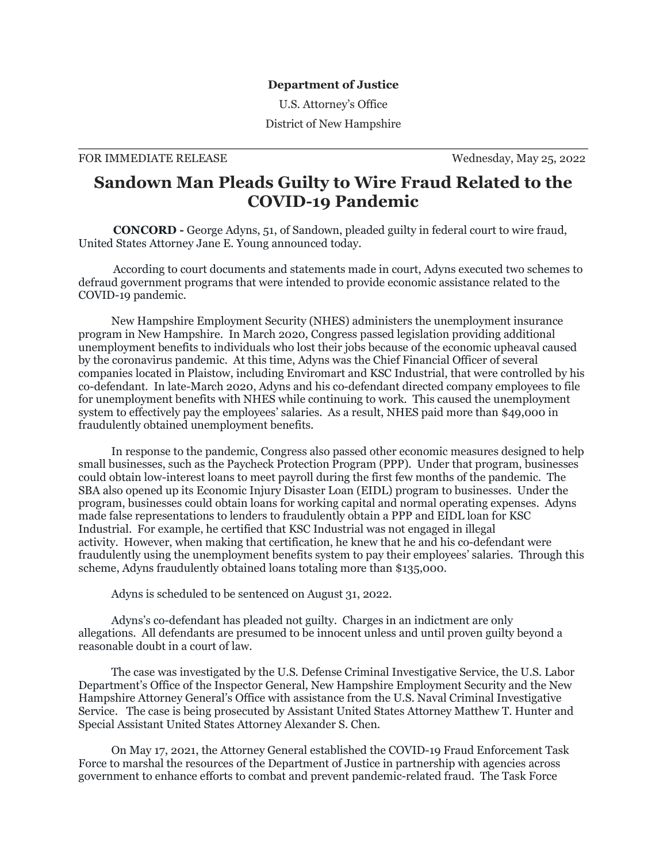## **Department of Justice**

U.S. Attorney's Office

District of New Hampshire

## FOR IMMEDIATE RELEASE Wednesday, May 25, 2022

## **Sandown Man Pleads Guilty to Wire Fraud Related to the COVID-19 Pandemic**

**CONCORD -** George Adyns, 51, of Sandown, pleaded guilty in federal court to wire fraud, United States Attorney Jane E. Young announced today.

According to court documents and statements made in court, Adyns executed two schemes to defraud government programs that were intended to provide economic assistance related to the COVID-19 pandemic.

New Hampshire Employment Security (NHES) administers the unemployment insurance program in New Hampshire. In March 2020, Congress passed legislation providing additional unemployment benefits to individuals who lost their jobs because of the economic upheaval caused by the coronavirus pandemic. At this time, Adyns was the Chief Financial Officer of several companies located in Plaistow, including Enviromart and KSC Industrial, that were controlled by his co-defendant. In late-March 2020, Adyns and his co-defendant directed company employees to file for unemployment benefits with NHES while continuing to work. This caused the unemployment system to effectively pay the employees' salaries. As a result, NHES paid more than \$49,000 in fraudulently obtained unemployment benefits.

In response to the pandemic, Congress also passed other economic measures designed to help small businesses, such as the Paycheck Protection Program (PPP). Under that program, businesses could obtain low-interest loans to meet payroll during the first few months of the pandemic. The SBA also opened up its Economic Injury Disaster Loan (EIDL) program to businesses. Under the program, businesses could obtain loans for working capital and normal operating expenses. Adyns made false representations to lenders to fraudulently obtain a PPP and EIDL loan for KSC Industrial. For example, he certified that KSC Industrial was not engaged in illegal activity. However, when making that certification, he knew that he and his co-defendant were fraudulently using the unemployment benefits system to pay their employees' salaries. Through this scheme, Adyns fraudulently obtained loans totaling more than \$135,000.

Adyns is scheduled to be sentenced on August 31, 2022.

Adyns's co-defendant has pleaded not guilty. Charges in an indictment are only allegations. All defendants are presumed to be innocent unless and until proven guilty beyond a reasonable doubt in a court of law.

The case was investigated by the U.S. Defense Criminal Investigative Service, the U.S. Labor Department's Office of the Inspector General, New Hampshire Employment Security and the New Hampshire Attorney General's Office with assistance from the U.S. Naval Criminal Investigative Service. The case is being prosecuted by Assistant United States Attorney Matthew T. Hunter and Special Assistant United States Attorney Alexander S. Chen.

On May 17, 2021, the Attorney General established the COVID-19 Fraud Enforcement Task Force to marshal the resources of the Department of Justice in partnership with agencies across government to enhance efforts to combat and prevent pandemic-related fraud. The Task Force